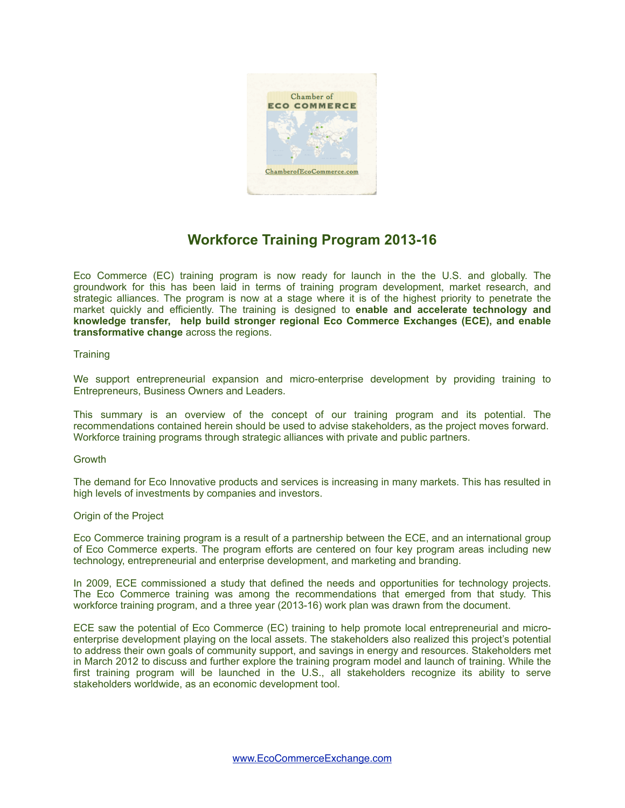

# **Workforce Training Program 2013-16**

Eco Commerce (EC) training program is now ready for launch in the the U.S. and globally. The groundwork for this has been laid in terms of training program development, market research, and strategic alliances. The program is now at a stage where it is of the highest priority to penetrate the market quickly and efficiently. The training is designed to **enable and accelerate technology and knowledge transfer, help build stronger regional Eco Commerce Exchanges (ECE), and enable transformative change** across the regions.

## **Training**

We support entrepreneurial expansion and micro-enterprise development by providing training to Entrepreneurs, Business Owners and Leaders.

This summary is an overview of the concept of our training program and its potential. The recommendations contained herein should be used to advise stakeholders, as the project moves forward. Workforce training programs through strategic alliances with private and public partners.

## **Growth**

The demand for Eco Innovative products and services is increasing in many markets. This has resulted in high levels of investments by companies and investors.

### Origin of the Project

Eco Commerce training program is a result of a partnership between the ECE, and an international group of Eco Commerce experts. The program efforts are centered on four key program areas including new technology, entrepreneurial and enterprise development, and marketing and branding.

In 2009, ECE commissioned a study that defined the needs and opportunities for technology projects. The Eco Commerce training was among the recommendations that emerged from that study. This workforce training program, and a three year (2013-16) work plan was drawn from the document.

ECE saw the potential of Eco Commerce (EC) training to help promote local entrepreneurial and microenterprise development playing on the local assets. The stakeholders also realized this project's potential to address their own goals of community support, and savings in energy and resources. Stakeholders met in March 2012 to discuss and further explore the training program model and launch of training. While the first training program will be launched in the U.S., all stakeholders recognize its ability to serve stakeholders worldwide, as an economic development tool.